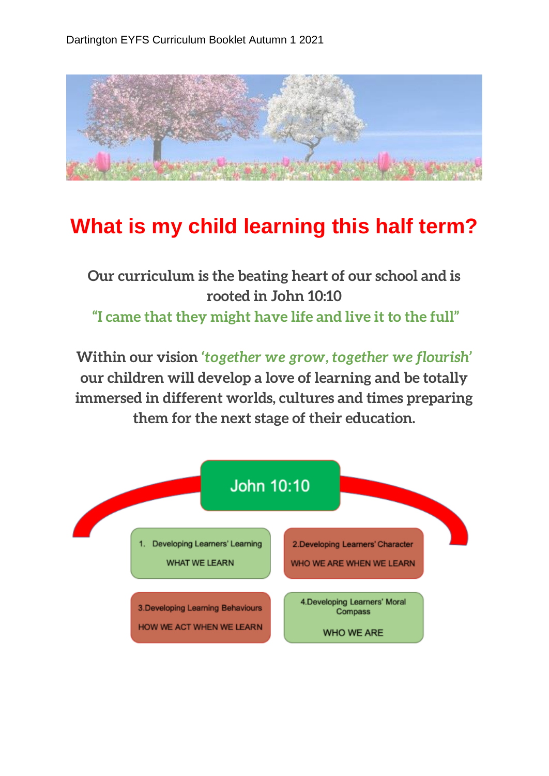

## **What is my child learning this half term?**

**Our curriculum is the beating heart of our school and is rooted in John 10:10 "I came that they might have life and live it to the full"**

**Within our vision** *'together we grow, together we flourish'*  **our children will develop a love of learning and be totally immersed in different worlds, cultures and times preparing them for the next stage of their education.**

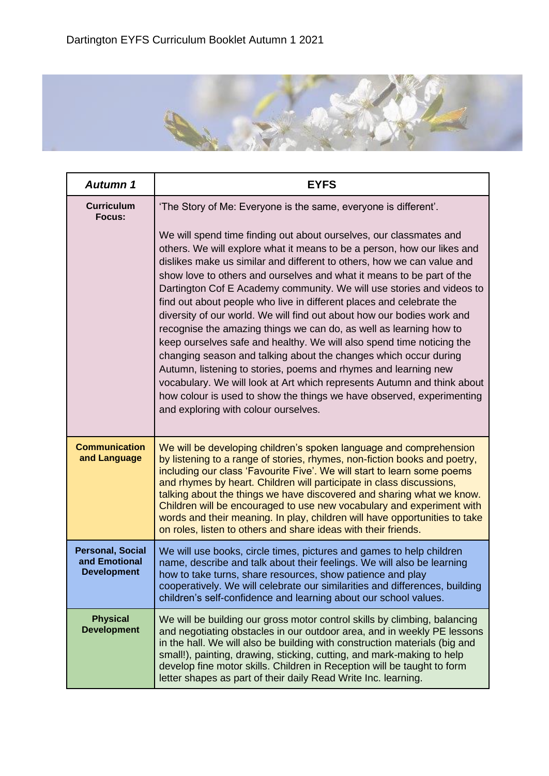

| <b>Autumn 1</b>                                                | <b>EYFS</b>                                                                                                                                                                                                                                                                                                                                                                                                                                                                                                                                                                                                                                                                                                                                                                                                                                                                                                                                                                                                   |
|----------------------------------------------------------------|---------------------------------------------------------------------------------------------------------------------------------------------------------------------------------------------------------------------------------------------------------------------------------------------------------------------------------------------------------------------------------------------------------------------------------------------------------------------------------------------------------------------------------------------------------------------------------------------------------------------------------------------------------------------------------------------------------------------------------------------------------------------------------------------------------------------------------------------------------------------------------------------------------------------------------------------------------------------------------------------------------------|
| <b>Curriculum</b><br>Focus:                                    | 'The Story of Me: Everyone is the same, everyone is different'.                                                                                                                                                                                                                                                                                                                                                                                                                                                                                                                                                                                                                                                                                                                                                                                                                                                                                                                                               |
|                                                                | We will spend time finding out about ourselves, our classmates and<br>others. We will explore what it means to be a person, how our likes and<br>dislikes make us similar and different to others, how we can value and<br>show love to others and ourselves and what it means to be part of the<br>Dartington Cof E Academy community. We will use stories and videos to<br>find out about people who live in different places and celebrate the<br>diversity of our world. We will find out about how our bodies work and<br>recognise the amazing things we can do, as well as learning how to<br>keep ourselves safe and healthy. We will also spend time noticing the<br>changing season and talking about the changes which occur during<br>Autumn, listening to stories, poems and rhymes and learning new<br>vocabulary. We will look at Art which represents Autumn and think about<br>how colour is used to show the things we have observed, experimenting<br>and exploring with colour ourselves. |
| <b>Communication</b><br>and Language                           | We will be developing children's spoken language and comprehension<br>by listening to a range of stories, rhymes, non-fiction books and poetry,<br>including our class 'Favourite Five'. We will start to learn some poems<br>and rhymes by heart. Children will participate in class discussions,<br>talking about the things we have discovered and sharing what we know.<br>Children will be encouraged to use new vocabulary and experiment with<br>words and their meaning. In play, children will have opportunities to take<br>on roles, listen to others and share ideas with their friends.                                                                                                                                                                                                                                                                                                                                                                                                          |
| <b>Personal, Social</b><br>and Emotional<br><b>Development</b> | We will use books, circle times, pictures and games to help children<br>name, describe and talk about their feelings. We will also be learning<br>how to take turns, share resources, show patience and play<br>cooperatively. We will celebrate our similarities and differences, building<br>children's self-confidence and learning about our school values.                                                                                                                                                                                                                                                                                                                                                                                                                                                                                                                                                                                                                                               |
| <b>Physical</b><br><b>Development</b>                          | We will be building our gross motor control skills by climbing, balancing<br>and negotiating obstacles in our outdoor area, and in weekly PE lessons<br>in the hall. We will also be building with construction materials (big and<br>small!), painting, drawing, sticking, cutting, and mark-making to help<br>develop fine motor skills. Children in Reception will be taught to form<br>letter shapes as part of their daily Read Write Inc. learning.                                                                                                                                                                                                                                                                                                                                                                                                                                                                                                                                                     |